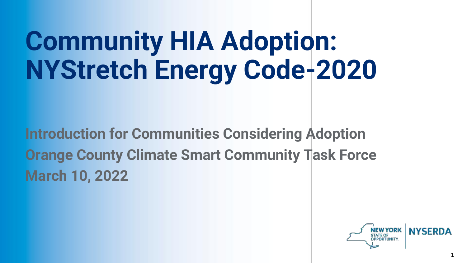# **Community HIA Adoption: NYStretch Energy Code-2020**

**Introduction for Communities Considering Adoption Orange County Climate Smart Community Task Force March 10, 2022**

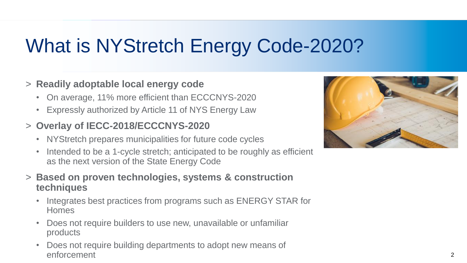# What is NYStretch Energy Code-2020?

#### > **Readily adoptable local energy code**

- On average, 11% more efficient than ECCCNYS-2020
- Expressly authorized by Article 11 of NYS Energy Law

#### > **Overlay of IECC-2018/ECCCNYS-2020**

- NYStretch prepares municipalities for future code cycles
- Intended to be a 1-cycle stretch; anticipated to be roughly as efficient as the next version of the State Energy Code
- > **Based on proven technologies, systems & construction techniques**
	- Integrates best practices from programs such as ENERGY STAR for Homes
	- Does not require builders to use new, unavailable or unfamiliar products
	- Does not require building departments to adopt new means of enforcement

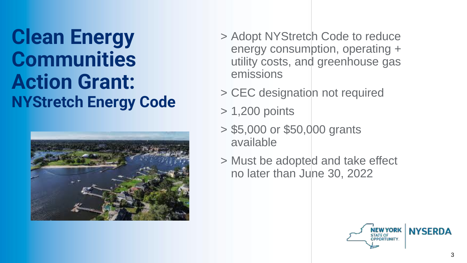## **Clean Energy Communities Action Grant: NYStretch Energy Code**



- > Adopt NYStretch Code to reduce energy consumption, operating + utility costs, and greenhouse gas emissions
- > CEC designation not required
- > 1,200 points
- > \$5,000 or \$50,000 grants available
- > Must be adopted and take effect no later than June 30, 2022

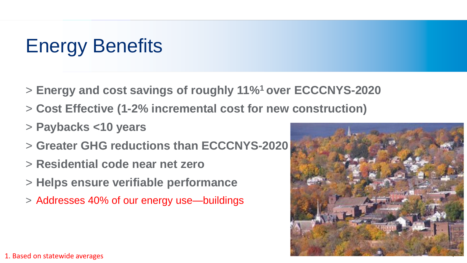# Energy Benefits

- > **Energy and cost savings of roughly 11%<sup>1</sup>over ECCCNYS-2020**
- > **Cost Effective (1-2% incremental cost for new construction)**
- > **Paybacks <10 years**
- > **Greater GHG reductions than ECCCNYS-2020**
- > **Residential code near net zero**
- > **Helps ensure verifiable performance**
- > Addresses 40% of our energy use—buildings

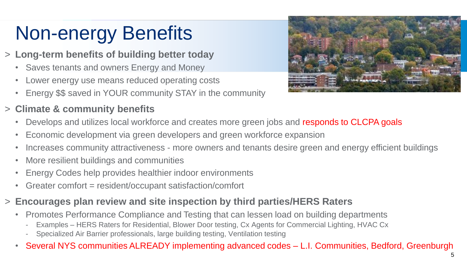# Non-energy Benefits

- > **Long-term benefits of building better today**
	- Saves tenants and owners Energy and Money
	- Lower energy use means reduced operating costs
	- Energy \$\$ saved in YOUR community STAY in the community

#### > **Climate & community benefits**



- Develops and utilizes local workforce and creates more green jobs and responds to CLCPA goals
- Economic development via green developers and green workforce expansion
- Increases community attractiveness more owners and tenants desire green and energy efficient buildings
- More resilient buildings and communities
- Energy Codes help provides healthier indoor environments
- Greater comfort = resident/occupant satisfaction/comfort
- > **Encourages plan review and site inspection by third parties/HERS Raters**
	- Promotes Performance Compliance and Testing that can lessen load on building departments
		- Examples HERS Raters for Residential, Blower Door testing, Cx Agents for Commercial Lighting, HVAC Cx
		- Specialized Air Barrier professionals, large building testing, Ventilation testing
	- Several NYS communities ALREADY implementing advanced codes L.I. Communities, Bedford, Greenburgh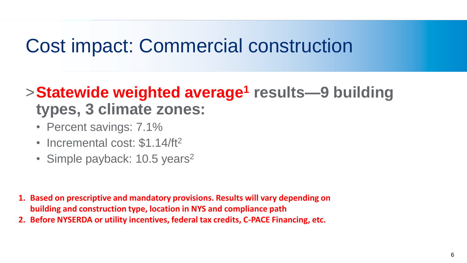#### Cost impact: Commercial construction

#### >**Statewide weighted average<sup>1</sup> results—9 building types, 3 climate zones:**

- Percent savings: 7.1%
- Incremental cost: \$1.14/ft<sup>2</sup>
- Simple payback: 10.5 years<sup>2</sup>

- **1. Based on prescriptive and mandatory provisions. Results will vary depending on building and construction type, location in NYS and compliance path**
- **2. Before NYSERDA or utility incentives, federal tax credits, C-PACE Financing, etc.**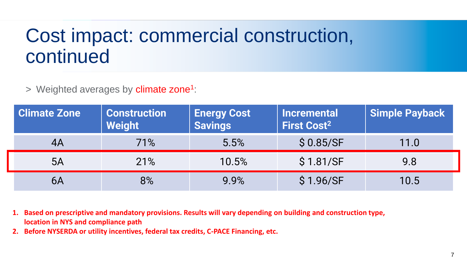## Cost impact: commercial construction, continued

> Weighted averages by climate zone<sup>1</sup>:

| <b>Climate Zone</b> | <b>Construction</b><br><b>Weight</b> | <b>Energy Cost</b><br><b>Savings</b> | <b>Incremental</b><br><b>First Cost<sup>2</sup></b> | <b>Simple Payback</b> |  |
|---------------------|--------------------------------------|--------------------------------------|-----------------------------------------------------|-----------------------|--|
| 4A                  | 71%                                  | 5.5%                                 | \$0.85/SF                                           | 11.0                  |  |
| 5A                  | 21%                                  | 10.5%                                | \$1.81/SF                                           | 9.8                   |  |
| 6A                  | 8%                                   | 9.9%                                 | \$1.96/SF                                           | 10.5                  |  |

**1. Based on prescriptive and mandatory provisions. Results will vary depending on building and construction type, location in NYS and compliance path**

**2. Before NYSERDA or utility incentives, federal tax credits, C-PACE Financing, etc.**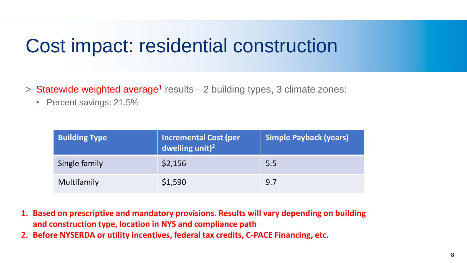#### Cost impact: residential construction

- > Statewide weighted average<sup>1</sup> results—2 building types, 3 climate zones:
	- Percent savings: 21.5%

| <b>Building Type</b> | <b>Incremental Cost (per</b><br>dwelling unit) <sup>2</sup> | <b>Simple Payback (years)</b> |
|----------------------|-------------------------------------------------------------|-------------------------------|
| Single family        | \$2,156                                                     | 5.5                           |
| Multifamily          | \$1,590                                                     | 9.7                           |

- **1. Based on prescriptive and mandatory provisions. Results will vary depending on building and construction type, location in NYS and compliance path**
- **2. Before NYSERDA or utility incentives, federal tax credits, C-PACE Financing, etc.**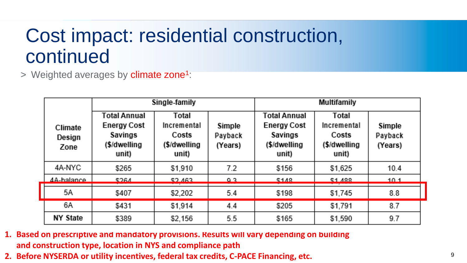## Cost impact: residential construction, continued

> Weighted averages by climate zone<sup>1</sup>:

|                           |                                                                         | Single-family                                          | Multifamily                  |                                                                        |                                                         |                              |
|---------------------------|-------------------------------------------------------------------------|--------------------------------------------------------|------------------------------|------------------------------------------------------------------------|---------------------------------------------------------|------------------------------|
| Climate<br>Design<br>Zone | Total Annual<br><b>Energy Cost</b><br>Savings<br>(\$/dwelling)<br>unit) | Total<br>Incremental<br>Costs<br>(\$/dwelling<br>unit) | Simple<br>Payback<br>(Years) | Total Annual<br><b>Energy Cost</b><br>Savings<br>(\$/dwelling<br>unit) | Total<br>Incremental<br>Costs<br>(\$/dwelling)<br>unit) | Simple<br>Payback<br>(Years) |
| 4A-NYC                    | \$265                                                                   | \$1,910                                                | 7.2                          | \$156                                                                  | \$1,625                                                 | 10.4                         |
| 4A-halance                | ፍጋፎብ                                                                    | <b>CONC2</b>                                           | Q 2                          | <b>\$148</b>                                                           | <b>C1 199</b>                                           | 10.1                         |
| 5Α                        | \$407                                                                   | \$2,202                                                | 5.4                          | \$198                                                                  | \$1,745                                                 | 8.8                          |
| 6A                        | \$431                                                                   | \$1,914                                                | 4.4                          | \$205                                                                  | \$1,791                                                 | 8.7                          |
| <b>NY State</b>           | \$389                                                                   | \$2,156                                                | 5.5                          | \$165                                                                  | \$1,590                                                 | 9.7                          |

- **1. Based on prescriptive and mandatory provisions. Results will vary depending on building and construction type, location in NYS and compliance path**
- **2. Before NYSERDA or utility incentives, federal tax credits, C-PACE Financing, etc.**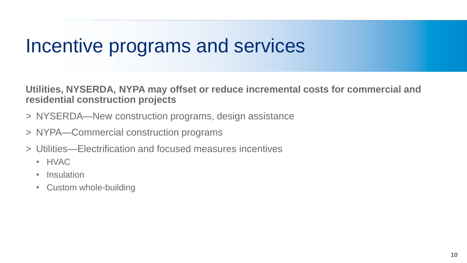#### Incentive programs and services

**Utilities, NYSERDA, NYPA may offset or reduce incremental costs for commercial and residential construction projects**

- > NYSERDA—New construction programs, design assistance
- > NYPA—Commercial construction programs
- > Utilities—Electrification and focused measures incentives
	- HVAC
	- Insulation
	- Custom whole-building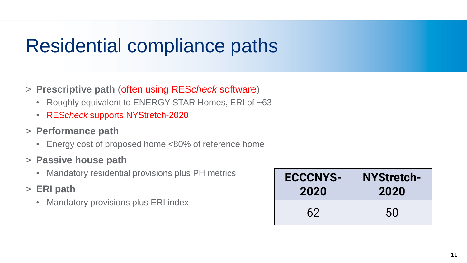## Residential compliance paths

- > **Prescriptive path** (often using RES*check* software)
	- Roughly equivalent to ENERGY STAR Homes, ERI of ~63
	- RES*check* supports NYStretch-2020
- > **Performance path**
	- Energy cost of proposed home <80% of reference home
- > **Passive house path**
	- Mandatory residential provisions plus PH metrics
- > **ERI path**
	- Mandatory provisions plus ERI index

| <b>ECCCNYS-</b> | <b>NYStretch-</b> |
|-----------------|-------------------|
| 2020            | 2020              |
| 62              | 50                |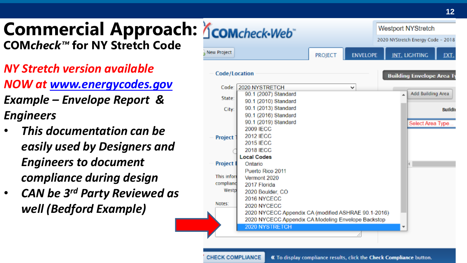**Commercial Approach: Acomcheck-Web COM***check ™* **for NY Stretch Code**

- *NY Stretch version available NOW at [www.energycodes.gov](http://www.energycodes.gov/) Example – Envelope Report & Engineers*
- *This documentation can be easily used by Designers and Engineers to document compliance during design*
- *CAN be 3rd Party Reviewed as well (Bedford Example)*

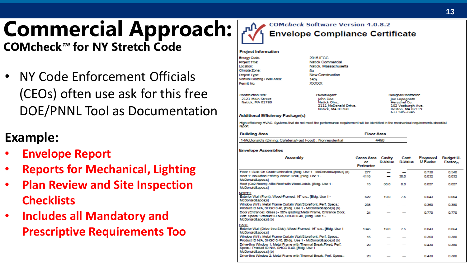# **Commercial Approach:**

**COMcheck** *™* **for NY Stretch Code**

• NY Code Enforcement Officials (CEOs) often use ask for this free DOE/PNNL Tool as Documentation

#### **Example:**

- **Envelope Report**
- **Reports for Mechanical, Lighting**
- **Plan Review and Site Inspection Checklists**
- **Includes all Mandatory and Prescriptive Requirements Too**



#### **Project Information**

**Energy Code Project Title** Location: Climate Zone **Project Type Vertical Glaz Permit No** Construction

| inergy Code:                 | <b>2015 IECC</b>         |     |
|------------------------------|--------------------------|-----|
| roject Title:                | <b>Natick Commercial</b> |     |
| ocation:                     | Natick, Massachusetts    |     |
| Ilmate Zone:                 | 5a                       |     |
| rolect Type:                 | <b>New Construction</b>  |     |
| ertical Glazing / Wall Area: | 14%                      |     |
| ermit No.                    | <b>XXXXXX</b>            |     |
| Construction Site:           | Owner/Agent:             | Des |
| 2121 Main Street             | Iohn Doe                 | œ   |

Natick Olne 2111 McDonald Drive. Nericle MA 017CO

laner/Contractor 102 Vosburgh Ave nthan MA 02119

#### **Additional Efficiency Package(s)**

High emplency HVAC. Systems that do not meet the performance requirement will be identified in the mechanical requirements checklist report.

| <b>Building Area</b>                                        | <b>Floor Area</b> |
|-------------------------------------------------------------|-------------------|
| 1-McDonald's (Dining: Cafeteria/Fast Food) : Nonresidential | 4490              |

#### **Envelope Assemblies**

Natick MA 01760

| <b>Assembly</b>                                                                                                                                 | Gross Area<br>or<br>Perimeter | Cavity<br><b>R-Value</b> | Cont.<br><b>R-Value</b> | Proposed<br><b>U-Factor</b> | <b>Budget U-</b><br><b>Factor</b> |
|-------------------------------------------------------------------------------------------------------------------------------------------------|-------------------------------|--------------------------|-------------------------|-----------------------------|-----------------------------------|
| Floor 1: Slab-On-Grade:Unheated, [Bidg. Use 1 - McDonald's] (c)                                                                                 | 277                           | -                        |                         | 0.730                       | 0.540                             |
| Roof 1: Insulation Entirely Above Deck, [Bidg. Use 1 -<br>McDonald':s1                                                                          | 4116                          |                          | 30.0                    | 0.032                       | 0.032                             |
| Roof (Co2 Room): Aftic Roof with Wood Joists, [Bidg. Use 1 -<br>McDonald':s1                                                                    | 15                            | 38.0                     | 0.0                     | 0.027                       | 0.027                             |
| <b>NORTH</b><br>Exterior Wall (Front): Wood-Framed, 16" o.c., [Bidg. Use 1 -<br>McDonald':s1                                                    | 622                           | 19.0                     | 7.5                     | 0.043                       | 0.064                             |
| Window (W1): Metal Frame Curtain Wall/Storefront, Perf. Specs.:<br>Product ID N/A, SHGC 0.40, [Bldg. Use 1 - McDonald's] (b)                    | 238                           |                          |                         | 0.360                       | 0.380                             |
| Door (Entrance): Glass (> 50% glazing):Metal Frame, Entrance Door,<br>Perf. Specs.: Product ID N/A, SHGC 0.40, IBIda, Use 1 -<br>McDonald's1(b) | 24                            |                          |                         | 0.770                       | 0.770                             |
| <b>EAST</b>                                                                                                                                     |                               |                          |                         |                             |                                   |
| Exterior Wall (Drive-thru Side): Wood-Framed, 16" o.c., [Bidg. Use 1 -<br>McDonald':s1                                                          | 1345                          | 19.0                     | 75                      | 0.043                       | 0.054                             |
| Window (W1): Metal Frame Curtain Wall/Storefront, Perf. Specs.:<br>Product ID N/A, SHGC 0.40, [Bldg. Use 1 - McDonald's] (b)                    | 15                            |                          |                         | 0.350                       | 0.380                             |
| Drive-thru Window 1: Metal Frame with Thermal Break: Fixed, Perf.<br>Specs.: Product ID N/A, SHGC 0.40, [Bldg. Use 1 -<br>McDonald's1(b)        | $\infty$                      |                          |                         | 0.430                       | 0.380                             |
| Drive-thru Window 2: Metal Frame with Thermal Break, Perf. Specs.:                                                                              | $\infty$                      |                          |                         | 0.430                       | 0.380                             |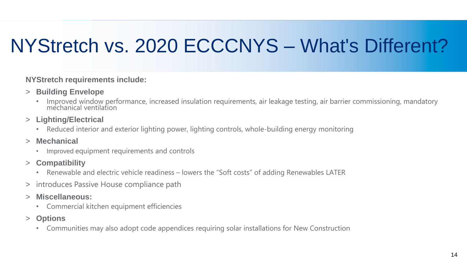## NYStretch vs. 2020 ECCCNYS – What's Different?

#### **NYStretch requirements include:**

- > **Building Envelope**
	- Improved window performance, increased insulation requirements, air leakage testing, air barrier commissioning, mandatory mechanical ventilation
- > **Lighting/Electrical**
	- Reduced interior and exterior lighting power, lighting controls, whole-building energy monitoring
- > **Mechanical**
	- Improved equipment requirements and controls
- > **Compatibility**
	- Renewable and electric vehicle readiness lowers the "Soft costs" of adding Renewables LATER
- > introduces Passive House compliance path
- > **Miscellaneous:**
	- Commercial kitchen equipment efficiencies
- > **Options**
	- Communities may also adopt code appendices requiring solar installations for New Construction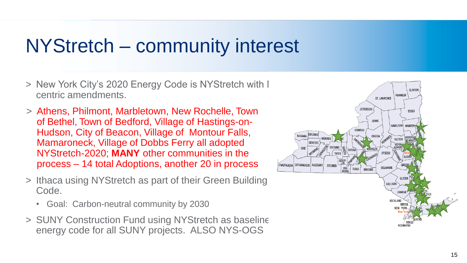## NYStretch – community interest

- > New York City's 2020 Energy Code is NYStretch with I centric amendments.
- > Athens, Philmont, Marbletown, New Rochelle, Town of Bethel, Town of Bedford, Village of Hastings-on-Hudson, City of Beacon, Village of Montour Falls, Mamaroneck, Village of Dobbs Ferry all adopted NYStretch-2020; **MANY** other communities in the process – 14 total Adoptions, another 20 in process
- > Ithaca using NYStretch as part of their Green Building Code.
	- Goal: Carbon-neutral community by 2030
- > SUNY Construction Fund using NYStretch as baseline energy code for all SUNY projects. ALSO NYS-OGS

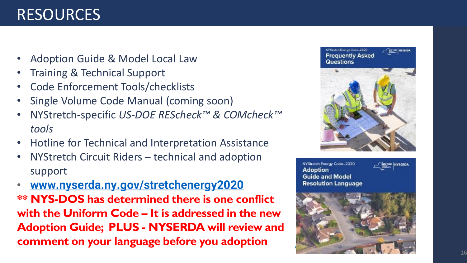#### RESOURCES

- Adoption Guide & Model Local Law
- Training & Technical Support
- Code Enforcement Tools/checklists
- Single Volume Code Manual (coming soon)
- NYStretch-specific *US-DOE REScheck™ & COMcheck ™ tools*
- Hotline for Technical and Interpretation Assistance
- NYStretch Circuit Riders technical and adoption support
- **[www.nyserda.ny.gov/stretchenergy2020](http://www.nyserda.ny.gov/stretchenergy2020) \*\* NYS -DOS has determined there is one conflict with the Uniform Code – It is addressed in the new Adoption Guide; PLUS - NYSERDA will review and comment on your language before you adoption**



NYStretch Energy Code-2020 **Adoption Guide and Model Resolution Language** 



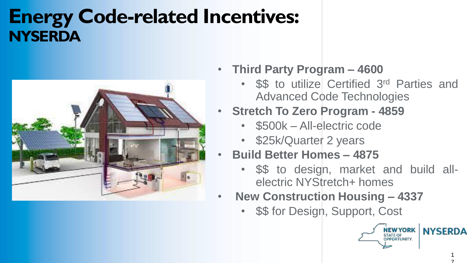#### **Energy Code-related Incentives: NYSERDA**



- **Third Party Program – 4600**
	- \$\$ to utilize Certified 3<sup>rd</sup> Parties and Advanced Code Technologies
- **Stretch To Zero Program - 4859**
	- \$500k All-electric code
	- \$25k/Quarter 2 years
	- **Build Better Homes – 4875**
		- \$\$ to design, market and build allelectric NYStretch+ homes
- **New Construction Housing – 4337**
	- \$\$ for Design, Support, Cost



7